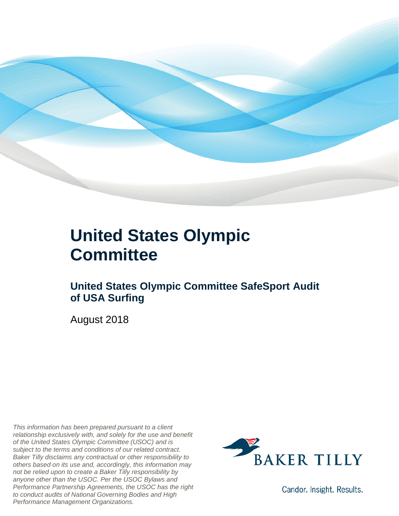

#### **United States Olympic Committee**

#### **United States Olympic Committee SafeSport Audit of USA Surfing**

August 2018

*This information has been prepared pursuant to a client relationship exclusively with, and solely for the use and benefit of the United States Olympic Committee (USOC) and is subject to the terms and conditions of our related contract. Baker Tilly disclaims any contractual or other responsibility to others based on its use and, accordingly, this information may not be relied upon to create a Baker Tilly responsibility by anyone other than the USOC. Per the USOC Bylaws and Performance Partnership Agreements, the USOC has the right to conduct audits of National Governing Bodies and High Performance Management Organizations.*



Candor. Insight. Results.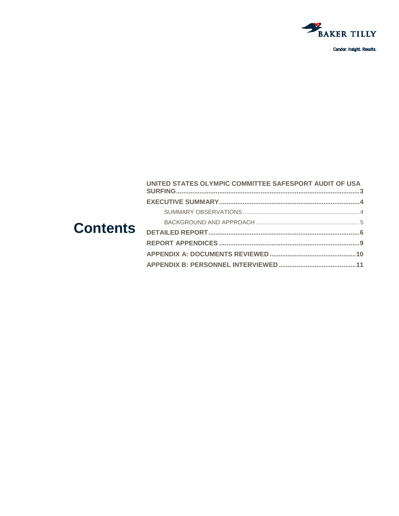

Candor. Insight. Results.

| <b>Contents</b> | UNITED STATES OLYMPIC COMMITTEE SAFESPORT AUDIT OF USA |  |
|-----------------|--------------------------------------------------------|--|
|                 |                                                        |  |
|                 |                                                        |  |
|                 |                                                        |  |
|                 |                                                        |  |
|                 |                                                        |  |
|                 |                                                        |  |
|                 |                                                        |  |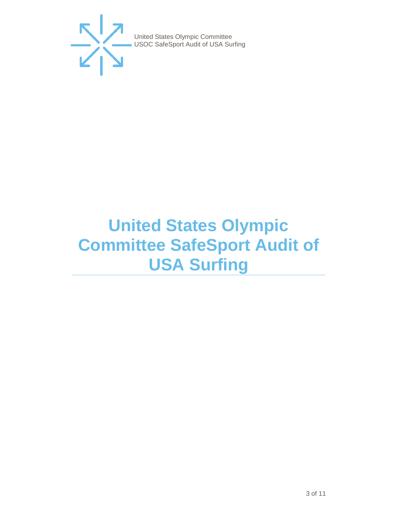

## <span id="page-2-0"></span>**United States Olympic Committee SafeSport Audit of USA Surfing**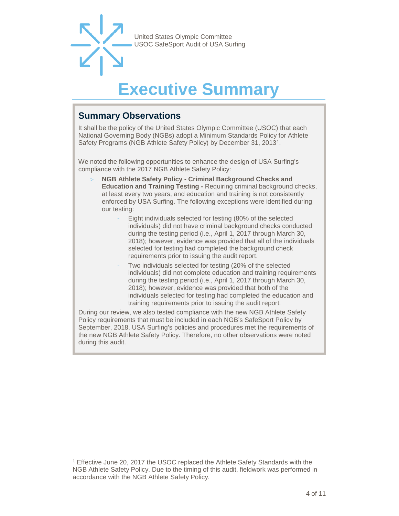### **Executive Summar**

#### <span id="page-3-1"></span><span id="page-3-0"></span>**Summary Observations**

-

It shall be the policy of the United States Olympic Committee (USOC) that each National Governing Body (NGBs) adopt a Minimum Standards Policy for Athlete Safety Programs (NGB Athlete Safety Policy) by December 31, 2013[1.](#page-3-2)

We noted the following opportunities to enhance the design of USA Surfing's compliance with the 2017 NGB Athlete Safety Policy:

- > **NGB Athlete Safety Policy - Criminal Background Checks and Education and Training Testing -** Requiring criminal background checks, at least every two years, and education and training is not consistently enforced by USA Surfing. The following exceptions were identified during our testing:
	- Eight individuals selected for testing (80% of the selected individuals) did not have criminal background checks conducted during the testing period (i.e., April 1, 2017 through March 30, 2018); however, evidence was provided that all of the individuals selected for testing had completed the background check requirements prior to issuing the audit report.
	- Two individuals selected for testing (20% of the selected individuals) did not complete education and training requirements during the testing period (i.e., April 1, 2017 through March 30, 2018); however, evidence was provided that both of the individuals selected for testing had completed the education and training requirements prior to issuing the audit report.

During our review, we also tested compliance with the new NGB Athlete Safety Policy requirements that must be included in each NGB's SafeSport Policy by September, 2018. USA Surfing's policies and procedures met the requirements of the new NGB Athlete Safety Policy. Therefore, no other observations were noted during this audit.

<span id="page-3-2"></span><sup>1</sup> Effective June 20, 2017 the USOC replaced the Athlete Safety Standards with the NGB Athlete Safety Policy. Due to the timing of this audit, fieldwork was performed in accordance with the NGB Athlete Safety Policy.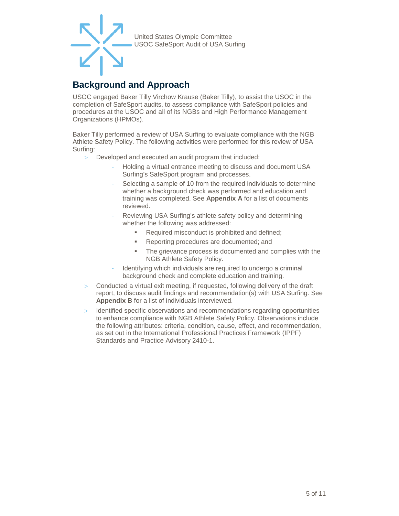#### <span id="page-4-0"></span>**Background and Approach**

USOC engaged Baker Tilly Virchow Krause (Baker Tilly), to assist the USOC in the completion of SafeSport audits, to assess compliance with SafeSport policies and procedures at the USOC and all of its NGBs and High Performance Management Organizations (HPMOs).

Baker Tilly performed a review of USA Surfing to evaluate compliance with the NGB Athlete Safety Policy. The following activities were performed for this review of USA Surfing:

- Developed and executed an audit program that included:
	- Holding a virtual entrance meeting to discuss and document USA Surfing's SafeSport program and processes.
	- Selecting a sample of 10 from the required individuals to determine whether a background check was performed and education and training was completed. See **Appendix A** for a list of documents reviewed.
	- Reviewing USA Surfing's athlete safety policy and determining whether the following was addressed:
		- Required misconduct is prohibited and defined;
		- **Reporting procedures are documented; and**
		- The grievance process is documented and complies with the NGB Athlete Safety Policy.
	- Identifying which individuals are required to undergo a criminal background check and complete education and training.
- > Conducted a virtual exit meeting, if requested, following delivery of the draft report, to discuss audit findings and recommendation(s) with USA Surfing. See **Appendix B** for a list of individuals interviewed.
- > Identified specific observations and recommendations regarding opportunities to enhance compliance with NGB Athlete Safety Policy. Observations include the following attributes: criteria, condition, cause, effect, and recommendation, as set out in the International Professional Practices Framework (IPPF) Standards and Practice Advisory 2410-1.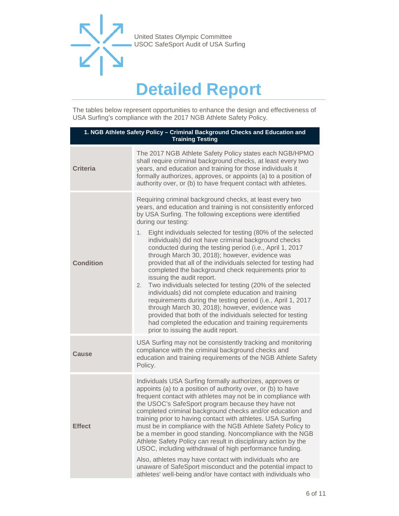

### **Detailed Report**

<span id="page-5-0"></span>The tables below represent opportunities to enhance the design and effectiveness of USA Surfing's compliance with the 2017 NGB Athlete Safety Policy.

| 1. NGB Athlete Safety Policy - Criminal Background Checks and Education and<br><b>Training Testing</b> |                                                                                                                                                                                                                                                                                                                                                                                                                                                                                                                                                                                                                                                                                                                                                                                                                                                                                                                                                                                                                         |  |
|--------------------------------------------------------------------------------------------------------|-------------------------------------------------------------------------------------------------------------------------------------------------------------------------------------------------------------------------------------------------------------------------------------------------------------------------------------------------------------------------------------------------------------------------------------------------------------------------------------------------------------------------------------------------------------------------------------------------------------------------------------------------------------------------------------------------------------------------------------------------------------------------------------------------------------------------------------------------------------------------------------------------------------------------------------------------------------------------------------------------------------------------|--|
| <b>Criteria</b>                                                                                        | The 2017 NGB Athlete Safety Policy states each NGB/HPMO<br>shall require criminal background checks, at least every two<br>years, and education and training for those individuals it<br>formally authorizes, approves, or appoints (a) to a position of<br>authority over, or (b) to have frequent contact with athletes.                                                                                                                                                                                                                                                                                                                                                                                                                                                                                                                                                                                                                                                                                              |  |
| <b>Condition</b>                                                                                       | Requiring criminal background checks, at least every two<br>years, and education and training is not consistently enforced<br>by USA Surfing. The following exceptions were identified<br>during our testing:<br>Eight individuals selected for testing (80% of the selected<br>1.<br>individuals) did not have criminal background checks<br>conducted during the testing period (i.e., April 1, 2017<br>through March 30, 2018); however, evidence was<br>provided that all of the individuals selected for testing had<br>completed the background check requirements prior to<br>issuing the audit report.<br>Two individuals selected for testing (20% of the selected<br>2.<br>individuals) did not complete education and training<br>requirements during the testing period (i.e., April 1, 2017<br>through March 30, 2018); however, evidence was<br>provided that both of the individuals selected for testing<br>had completed the education and training requirements<br>prior to issuing the audit report. |  |
| Cause                                                                                                  | USA Surfing may not be consistently tracking and monitoring<br>compliance with the criminal background checks and<br>education and training requirements of the NGB Athlete Safety<br>Policy.                                                                                                                                                                                                                                                                                                                                                                                                                                                                                                                                                                                                                                                                                                                                                                                                                           |  |
| <b>Effect</b>                                                                                          | Individuals USA Surfing formally authorizes, approves or<br>appoints (a) to a position of authority over, or (b) to have<br>frequent contact with athletes may not be in compliance with<br>the USOC's SafeSport program because they have not<br>completed criminal background checks and/or education and<br>training prior to having contact with athletes. USA Surfing<br>must be in compliance with the NGB Athlete Safety Policy to<br>be a member in good standing. Noncompliance with the NGB<br>Athlete Safety Policy can result in disciplinary action by the<br>USOC, including withdrawal of high performance funding.<br>Also, athletes may have contact with individuals who are<br>unaware of SafeSport misconduct and the potential impact to<br>athletes' well-being and/or have contact with individuals who                                                                                                                                                                                          |  |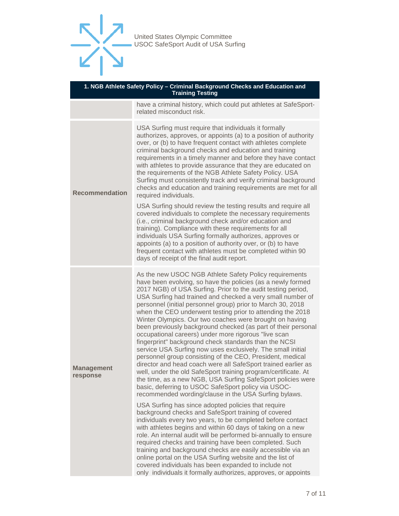

| 1. NGB Athlete Safety Policy - Criminal Background Checks and Education and<br><b>Training Testing</b> |                                                                                                                                                                                                                                                                                                                                                                                                                                                                                                                                                                                                                                                                                                                                                                                                                                                                                                                                                                                                                                                                             |  |
|--------------------------------------------------------------------------------------------------------|-----------------------------------------------------------------------------------------------------------------------------------------------------------------------------------------------------------------------------------------------------------------------------------------------------------------------------------------------------------------------------------------------------------------------------------------------------------------------------------------------------------------------------------------------------------------------------------------------------------------------------------------------------------------------------------------------------------------------------------------------------------------------------------------------------------------------------------------------------------------------------------------------------------------------------------------------------------------------------------------------------------------------------------------------------------------------------|--|
|                                                                                                        | have a criminal history, which could put athletes at SafeSport-<br>related misconduct risk.                                                                                                                                                                                                                                                                                                                                                                                                                                                                                                                                                                                                                                                                                                                                                                                                                                                                                                                                                                                 |  |
| <b>Recommendation</b>                                                                                  | USA Surfing must require that individuals it formally<br>authorizes, approves, or appoints (a) to a position of authority<br>over, or (b) to have frequent contact with athletes complete<br>criminal background checks and education and training<br>requirements in a timely manner and before they have contact<br>with athletes to provide assurance that they are educated on<br>the requirements of the NGB Athlete Safety Policy. USA<br>Surfing must consistently track and verify criminal background<br>checks and education and training requirements are met for all<br>required individuals.                                                                                                                                                                                                                                                                                                                                                                                                                                                                   |  |
|                                                                                                        | USA Surfing should review the testing results and require all<br>covered individuals to complete the necessary requirements<br>(i.e., criminal background check and/or education and<br>training). Compliance with these requirements for all<br>individuals USA Surfing formally authorizes, approves or<br>appoints (a) to a position of authority over, or (b) to have<br>frequent contact with athletes must be completed within 90<br>days of receipt of the final audit report.                                                                                                                                                                                                                                                                                                                                                                                                                                                                                                                                                                                       |  |
| <b>Management</b><br>response                                                                          | As the new USOC NGB Athlete Safety Policy requirements<br>have been evolving, so have the policies (as a newly formed<br>2017 NGB) of USA Surfing. Prior to the audit testing period,<br>USA Surfing had trained and checked a very small number of<br>personnel (initial personnel group) prior to March 30, 2018<br>when the CEO underwent testing prior to attending the 2018<br>Winter Olympics. Our two coaches were brought on having<br>been previously background checked (as part of their personal<br>occupational careers) under more rigorous "live scan<br>fingerprint" background check standards than the NCSI<br>service USA Surfing now uses exclusively. The small initial<br>personnel group consisting of the CEO, President, medical<br>director and head coach were all SafeSport trained earlier as<br>well, under the old SafeSport training program/certificate. At<br>the time, as a new NGB, USA Surfing SafeSport policies were<br>basic, deferring to USOC SafeSport policy via USOC-<br>recommended wording/clause in the USA Surfing bylaws. |  |
|                                                                                                        | USA Surfing has since adopted policies that require<br>background checks and SafeSport training of covered<br>individuals every two years, to be completed before contact<br>with athletes begins and within 60 days of taking on a new<br>role. An internal audit will be performed bi-annually to ensure<br>required checks and training have been completed. Such<br>training and background checks are easily accessible via an<br>online portal on the USA Surfing website and the list of<br>covered individuals has been expanded to include not<br>only individuals it formally authorizes, approves, or appoints                                                                                                                                                                                                                                                                                                                                                                                                                                                   |  |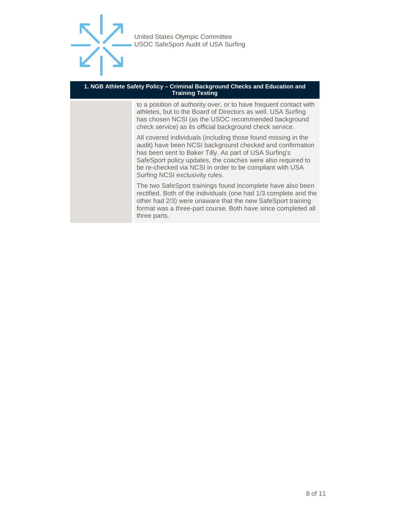

#### **1. NGB Athlete Safety Policy – Criminal Background Checks and Education and Training Testing**

to a position of authority over, or to have frequent contact with athletes, but to the Board of Directors as well. USA Surfing has chosen NCSI (as the USOC recommended background check service) as its official background check service.

All covered individuals (including those found missing in the audit) have been NCSI background checked and confirmation has been sent to Baker Tilly. As part of USA Surfing's SafeSport policy updates, the coaches were also required to be re-checked via NCSI in order to be compliant with USA Surfing NCSI exclusivity rules.

The two SafeSport trainings found incomplete have also been rectified. Both of the individuals (one had 1/3 complete and the other had 2/3) were unaware that the new SafeSport training format was a three-part course. Both have since completed all three parts.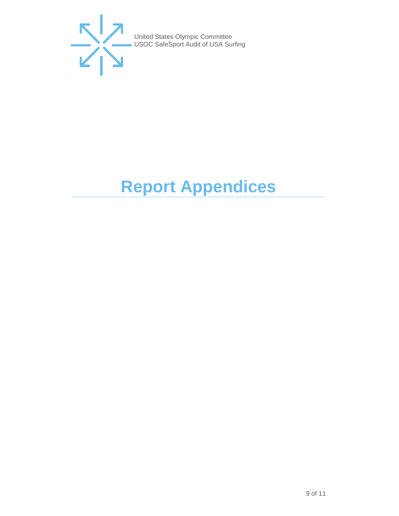

# <span id="page-8-0"></span>**Report Appendices**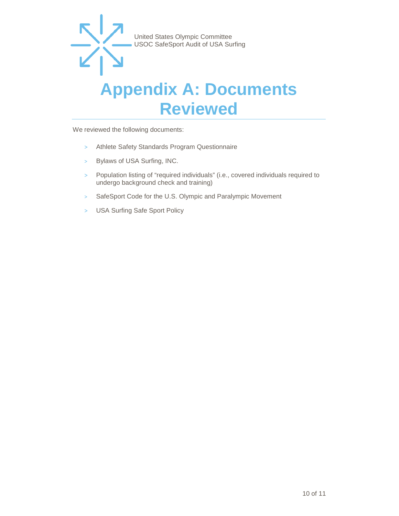#### <span id="page-9-0"></span>**Appendix A: Documents Reviewed**

We reviewed the following documents:

- > Athlete Safety Standards Program Questionnaire
- > Bylaws of USA Surfing, INC.
- > Population listing of "required individuals" (i.e., covered individuals required to undergo background check and training)
- > SafeSport Code for the U.S. Olympic and Paralympic Movement
- > USA Surfing Safe Sport Policy